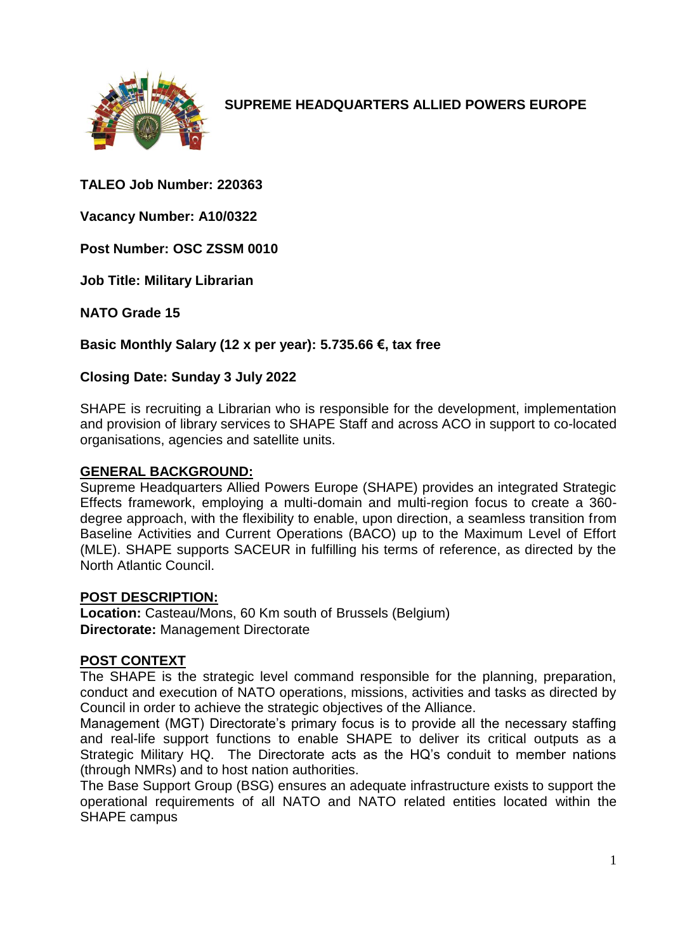

**SUPREME HEADQUARTERS ALLIED POWERS EUROPE**

**TALEO Job Number: 220363**

**Vacancy Number: A10/0322**

**Post Number: OSC ZSSM 0010**

**Job Title: Military Librarian**

**NATO Grade 15**

**Basic Monthly Salary (12 x per year): 5.735.66 €, tax free** 

#### **Closing Date: Sunday 3 July 2022**

SHAPE is recruiting a Librarian who is responsible for the development, implementation and provision of library services to SHAPE Staff and across ACO in support to co-located organisations, agencies and satellite units.

#### **GENERAL BACKGROUND:**

Supreme Headquarters Allied Powers Europe (SHAPE) provides an integrated Strategic Effects framework, employing a multi-domain and multi-region focus to create a 360 degree approach, with the flexibility to enable, upon direction, a seamless transition from Baseline Activities and Current Operations (BACO) up to the Maximum Level of Effort (MLE). SHAPE supports SACEUR in fulfilling his terms of reference, as directed by the North Atlantic Council.

#### **POST DESCRIPTION:**

**Location:** Casteau/Mons, 60 Km south of Brussels (Belgium) **Directorate:** Management Directorate

# **POST CONTEXT**

The SHAPE is the strategic level command responsible for the planning, preparation, conduct and execution of NATO operations, missions, activities and tasks as directed by Council in order to achieve the strategic objectives of the Alliance.

Management (MGT) Directorate's primary focus is to provide all the necessary staffing and real-life support functions to enable SHAPE to deliver its critical outputs as a Strategic Military HQ. The Directorate acts as the HQ's conduit to member nations (through NMRs) and to host nation authorities.

The Base Support Group (BSG) ensures an adequate infrastructure exists to support the operational requirements of all NATO and NATO related entities located within the SHAPE campus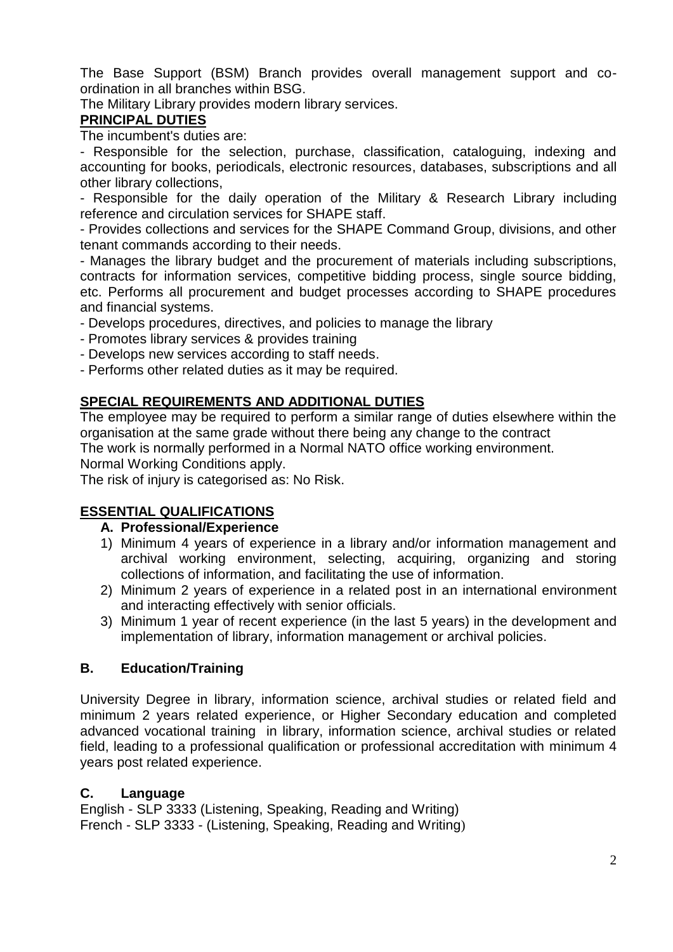The Base Support (BSM) Branch provides overall management support and coordination in all branches within BSG.

The Military Library provides modern library services.

### **PRINCIPAL DUTIES**

The incumbent's duties are:

- Responsible for the selection, purchase, classification, cataloguing, indexing and accounting for books, periodicals, electronic resources, databases, subscriptions and all other library collections,

- Responsible for the daily operation of the Military & Research Library including reference and circulation services for SHAPE staff.

- Provides collections and services for the SHAPE Command Group, divisions, and other tenant commands according to their needs.

- Manages the library budget and the procurement of materials including subscriptions, contracts for information services, competitive bidding process, single source bidding, etc. Performs all procurement and budget processes according to SHAPE procedures and financial systems.

- Develops procedures, directives, and policies to manage the library

- Promotes library services & provides training

- Develops new services according to staff needs.

- Performs other related duties as it may be required.

# **SPECIAL REQUIREMENTS AND ADDITIONAL DUTIES**

The employee may be required to perform a similar range of duties elsewhere within the organisation at the same grade without there being any change to the contract The work is normally performed in a Normal NATO office working environment.

Normal Working Conditions apply.

The risk of injury is categorised as: No Risk.

# **ESSENTIAL QUALIFICATIONS**

#### **A. Professional/Experience**

- 1) Minimum 4 years of experience in a library and/or information management and archival working environment, selecting, acquiring, organizing and storing collections of information, and facilitating the use of information.
- 2) Minimum 2 years of experience in a related post in an international environment and interacting effectively with senior officials.
- 3) Minimum 1 year of recent experience (in the last 5 years) in the development and implementation of library, information management or archival policies.

# **B. Education/Training**

University Degree in library, information science, archival studies or related field and minimum 2 years related experience, or Higher Secondary education and completed advanced vocational training in library, information science, archival studies or related field, leading to a professional qualification or professional accreditation with minimum 4 years post related experience.

#### **C. Language**

English - SLP 3333 (Listening, Speaking, Reading and Writing) French - SLP 3333 - (Listening, Speaking, Reading and Writing)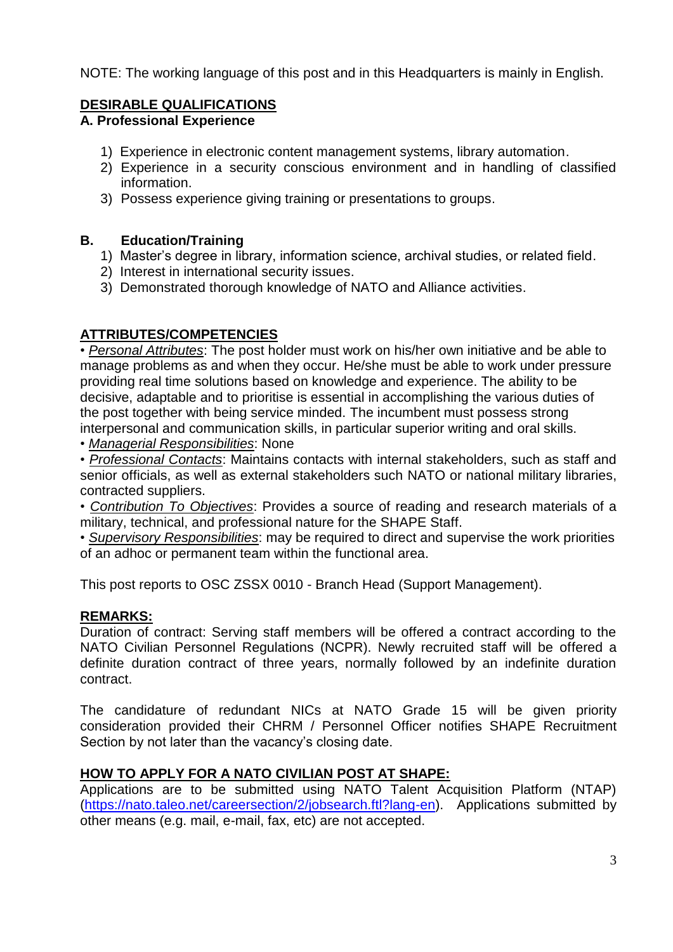NOTE: The working language of this post and in this Headquarters is mainly in English.

# **DESIRABLE QUALIFICATIONS**

# **A. Professional Experience**

- 1) Experience in electronic content management systems, library automation.
- 2) Experience in a security conscious environment and in handling of classified information.
- 3) Possess experience giving training or presentations to groups.

#### **B. Education/Training**

- 1) Master's degree in library, information science, archival studies, or related field.
- 2) Interest in international security issues.
- 3) Demonstrated thorough knowledge of NATO and Alliance activities.

# **ATTRIBUTES/COMPETENCIES**

• *Personal Attributes*: The post holder must work on his/her own initiative and be able to manage problems as and when they occur. He/she must be able to work under pressure providing real time solutions based on knowledge and experience. The ability to be decisive, adaptable and to prioritise is essential in accomplishing the various duties of the post together with being service minded. The incumbent must possess strong interpersonal and communication skills, in particular superior writing and oral skills.

• *Managerial Responsibilities*: None

• *Professional Contacts*: Maintains contacts with internal stakeholders, such as staff and senior officials, as well as external stakeholders such NATO or national military libraries, contracted suppliers.

• *Contribution To Objectives*: Provides a source of reading and research materials of a military, technical, and professional nature for the SHAPE Staff.

• *Supervisory Responsibilities*: may be required to direct and supervise the work priorities of an adhoc or permanent team within the functional area.

This post reports to OSC ZSSX 0010 - Branch Head (Support Management).

#### **REMARKS:**

Duration of contract: Serving staff members will be offered a contract according to the NATO Civilian Personnel Regulations (NCPR). Newly recruited staff will be offered a definite duration contract of three years, normally followed by an indefinite duration contract.

The candidature of redundant NICs at NATO Grade 15 will be given priority consideration provided their CHRM / Personnel Officer notifies SHAPE Recruitment Section by not later than the vacancy's closing date.

# **HOW TO APPLY FOR A NATO CIVILIAN POST AT SHAPE:**

Applications are to be submitted using NATO Talent Acquisition Platform (NTAP) [\(https://nato.taleo.net/careersection/2/jobsearch.ftl?lang-en\)](https://nato.taleo.net/careersection/1/jobsearch.ftl?lang-en). Applications submitted by other means (e.g. mail, e-mail, fax, etc) are not accepted.